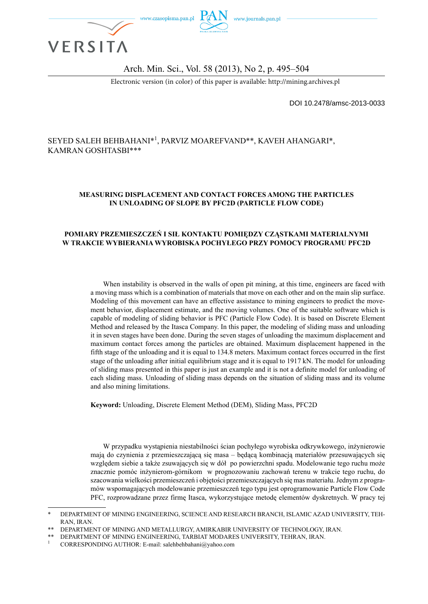

## Arch. Min. Sci., Vol. 58 (2013), No 2, p. 495–504

Electronic version (in color) of this paper is available: http://mining.archives.pl

DOI 10.2478/amsc-2013-0033

## SEYED SALEH BEHBAHANI\*<sup>1</sup> , PARVIZ MOAREFVAND\*\*, KAVEH AHANGARI\*, KAMRAN GOSHTASBI\*\*\*

#### **MEASURING DISPLACEMENT AND CONTACT FORCES AMONG THE PARTICLES IN UNLOADING OF SLOPE BY PFC2D (PARTICLE FLOW CODE)**

#### **POMIARY PRZEMIESZCZEŃ I SIŁ KONTAKTU POMIĘDZY CZĄSTKAMI MATERIALNYMI W TRAKCIE WYBIERANIA WYROBISKA POCHYŁEGO PRZY POMOCY PROGRAMU PFC2D**

When instability is observed in the walls of open pit mining, at this time, engineers are faced with a moving mass which is a combination of materials that move on each other and on the main slip surface. Modeling of this movement can have an effective assistance to mining engineers to predict the movement behavior, displacement estimate, and the moving volumes. One of the suitable software which is capable of modeling of sliding behavior is PFC (Particle Flow Code). It is based on Discrete Element Method and released by the Itasca Company. In this paper, the modeling of sliding mass and unloading it in seven stages have been done. During the seven stages of unloading the maximum displacement and maximum contact forces among the particles are obtained. Maximum displacement happened in the fifth stage of the unloading and it is equal to 134.8 meters. Maximum contact forces occurred in the first stage of the unloading after initial equilibrium stage and it is equal to 1917 kN. The model for unloading of sliding mass presented in this paper is just an example and it is not a definite model for unloading of each sliding mass. Unloading of sliding mass depends on the situation of sliding mass and its volume and also mining limitations.

**Keyword:** Unloading, Discrete Element Method (DEM), Sliding Mass, PFC2D

W przypadku wystąpienia niestabilności ścian pochyłego wyrobiska odkrywkowego, inżynierowie mają do czynienia z przemieszczającą się masa – będącą kombinacją materiałów przesuwających się względem siebie a także zsuwających się w dół po powierzchni spadu. Modelowanie tego ruchu może znacznie pomóc inżynierom-górnikom w prognozowaniu zachowań terenu w trakcie tego ruchu, do szacowania wielkości przemieszczeń i objętości przemieszczających się mas materiału. Jednym z programów wspomagających modelowanie przemieszczeń tego typu jest oprogramowanie Particle Flow Code PFC, rozprowadzane przez firmę Itasca, wykorzystujące metodę elementów dyskretnych. W pracy tej

<sup>\*</sup> DEPARTMENT OF MINING ENGINEERING, SCIENCE AND RESEARCH BRANCH, ISLAMIC AZAD UNIVERSITY, TEH-RAN, IRAN.

<sup>\*\*</sup> DEPARTMENT OF MINING AND METALLURGY, AMIRKABIR UNIVERSITY OF TECHNOLOGY, IRAN.

<sup>\*\*</sup> DEPARTMENT OF MINING ENGINEERING, TARBIAT MODARES UNIVERSITY, TEHRAN, IRAN.

<sup>1</sup> CORRESPONDING AUTHOR: E-mail: salehbehbahani@yahoo.com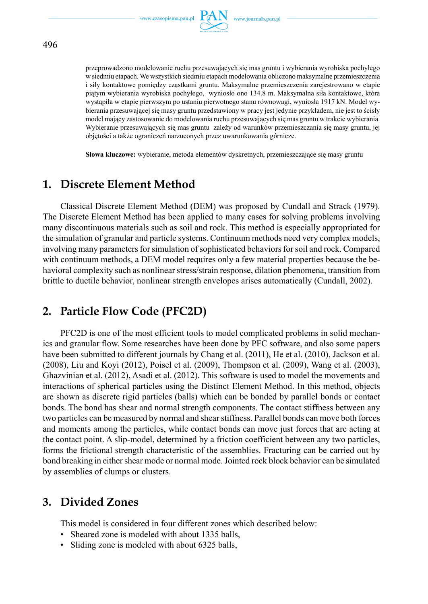

przeprowadzono modelowanie ruchu przesuwających się mas gruntu i wybierania wyrobiska pochyłego w siedmiu etapach. We wszystkich siedmiu etapach modelowania obliczono maksymalne przemieszczenia i siły kontaktowe pomiędzy cząstkami gruntu. Maksymalne przemieszczenia zarejestrowano w etapie piątym wybierania wyrobiska pochyłego, wyniosło ono 134.8 m. Maksymalna siła kontaktowe, która wystąpiła w etapie pierwszym po ustaniu pierwotnego stanu równowagi, wyniosła 1917 kN. Model wybierania przesuwającej się masy gruntu przedstawiony w pracy jest jedynie przykładem, nie jest to ścisły model mający zastosowanie do modelowania ruchu przesuwających się mas gruntu w trakcie wybierania. Wybieranie przesuwających się mas gruntu zależy od warunków przemieszczania się masy gruntu, jej objętości a także ograniczeń narzuconych przez uwarunkowania górnicze.

**Słowa kluczowe:** wybieranie, metoda elementów dyskretnych, przemieszczające się masy gruntu

# **1. Discrete Element Method**

Classical Discrete Element Method (DEM) was proposed by Cundall and Strack (1979). The Discrete Element Method has been applied to many cases for solving problems involving many discontinuous materials such as soil and rock. This method is especially appropriated for the simulation of granular and particle systems. Continuum methods need very complex models, involving many parameters for simulation of sophisticated behaviors for soil and rock. Compared with continuum methods, a DEM model requires only a few material properties because the behavioral complexity such as nonlinear stress/strain response, dilation phenomena, transition from brittle to ductile behavior, nonlinear strength envelopes arises automatically (Cundall, 2002).

# **2. Particle Flow Code (PFC2D)**

PFC2D is one of the most efficient tools to model complicated problems in solid mechanics and granular flow. Some researches have been done by PFC software, and also some papers have been submitted to different journals by Chang et al. (2011), He et al. (2010), Jackson et al. (2008), Liu and Koyi (2012), Poisel et al. (2009), Thompson et al. (2009), Wang et al. (2003), Ghazvinian et al. (2012), Asadi et al. (2012). This software is used to model the movements and interactions of spherical particles using the Distinct Element Method. In this method, objects are shown as discrete rigid particles (balls) which can be bonded by parallel bonds or contact bonds. The bond has shear and normal strength components. The contact stiffness between any two particles can be measured by normal and shear stiffness. Parallel bonds can move both forces and moments among the particles, while contact bonds can move just forces that are acting at the contact point. A slip-model, determined by a friction coefficient between any two particles, forms the frictional strength characteristic of the assemblies. Fracturing can be carried out by bond breaking in either shear mode or normal mode. Jointed rock block behavior can be simulated by assemblies of clumps or clusters.

## **3. Divided Zones**

This model is considered in four different zones which described below:

- Sheared zone is modeled with about 1335 balls,
- Sliding zone is modeled with about 6325 balls,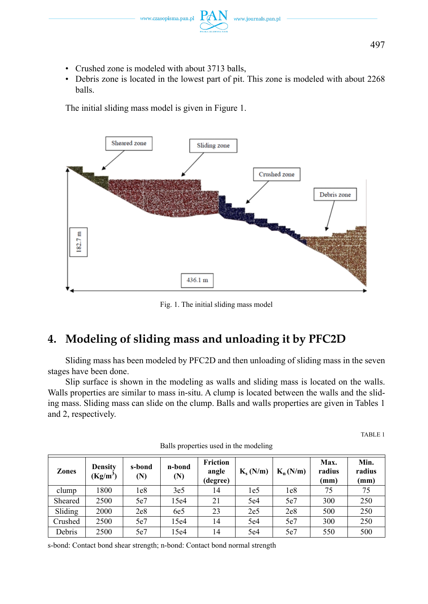

- Crushed zone is modeled with about 3713 balls,
- Debris zone is located in the lowest part of pit. This zone is modeled with about 2268 balls.

The initial sliding mass model is given in Figure 1.



Fig. 1. The initial sliding mass model

# **4. Modeling of sliding mass and unloading it by PFC2D**

Sliding mass has been modeled by PFC2D and then unloading of sliding mass in the seven stages have been done.

Slip surface is shown in the modeling as walls and sliding mass is located on the walls. Walls properties are similar to mass in-situ. A clump is located between the walls and the sliding mass. Sliding mass can slide on the clump. Balls and walls properties are given in Tables 1 and 2, respectively.

TABLE 1

| <b>Zones</b> | <b>Density</b><br>(Kg/m <sup>3</sup> ) | s-bond<br>(N) | n-bond<br>(N)   | <b>Friction</b><br>angle<br>(degree) | $K_{\rm c}$ (N/m) | $K_n(N/m)$ | Max.<br>radius<br>(mm) | Min.<br>radius<br>(mm) |
|--------------|----------------------------------------|---------------|-----------------|--------------------------------------|-------------------|------------|------------------------|------------------------|
| clump        | 1800                                   | 1e8           | 3e <sub>5</sub> | 14                                   | 1e5               | 1e8        | 75                     | 75                     |
| Sheared      | 2500                                   | 5e7           | 15e4            | 21                                   | 5e4               | 5e7        | 300                    | 250                    |
| Sliding      | 2000                                   | 2e8           | 6e <sub>5</sub> | 23                                   | 2e <sub>5</sub>   | 2e8        | 500                    | 250                    |
| Crushed      | 2500                                   | 5e7           | 15e4            | 14                                   | 5e4               | 5e7        | 300                    | 250                    |
| Debris       | 2500                                   | 5e7           | 15e4            | 14                                   | 5e4               | 5e7        | 550                    | 500                    |

Balls properties used in the modeling

s-bond: Contact bond shear strength; n-bond: Contact bond normal strength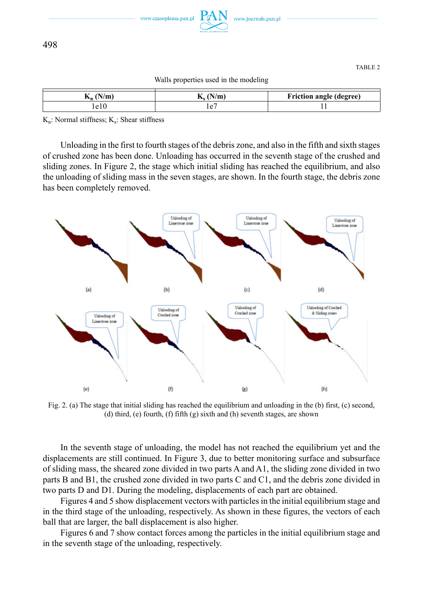

498

TABLE 2

Walls properties used in the modeling

| 11 п<br>17 LLL | <br><b>Friction angle (degree)</b> |
|----------------|------------------------------------|
| $\cdot$ 1      |                                    |

 $K_n$ : Normal stiffness;  $K_s$ : Shear stiffness

Unloading in the first to fourth stages of the debris zone, and also in the fifth and sixth stages of crushed zone has been done. Unloading has occurred in the seventh stage of the crushed and sliding zones. In Figure 2, the stage which initial sliding has reached the equilibrium, and also the unloading of sliding mass in the seven stages, are shown. In the fourth stage, the debris zone has been completely removed.



Fig. 2. (a) The stage that initial sliding has reached the equilibrium and unloading in the (b) first, (c) second, (d) third, (e) fourth, (f) fifth (g) sixth and (h) seventh stages, are shown

In the seventh stage of unloading, the model has not reached the equilibrium yet and the displacements are still continued. In Figure 3, due to better monitoring surface and subsurface of sliding mass, the sheared zone divided in two parts A and A1, the sliding zone divided in two parts B and B1, the crushed zone divided in two parts C and C1, and the debris zone divided in two parts D and D1. During the modeling, displacements of each part are obtained.

Figures 4 and 5 show displacement vectors with particles in the initial equilibrium stage and in the third stage of the unloading, respectively. As shown in these figures, the vectors of each ball that are larger, the ball displacement is also higher.

Figures 6 and 7 show contact forces among the particles in the initial equilibrium stage and in the seventh stage of the unloading, respectively.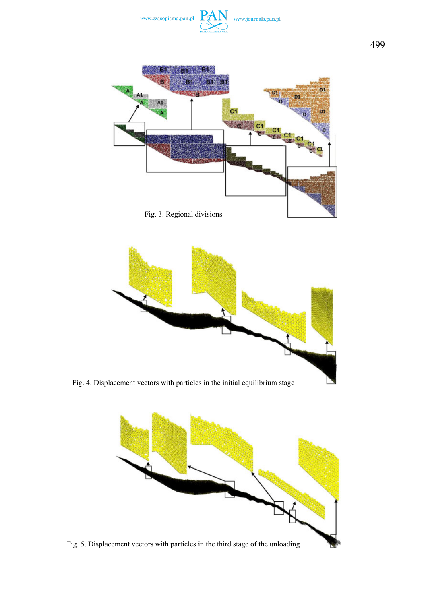

Fig. 4. Displacement vectors with particles in the initial equilibrium stage

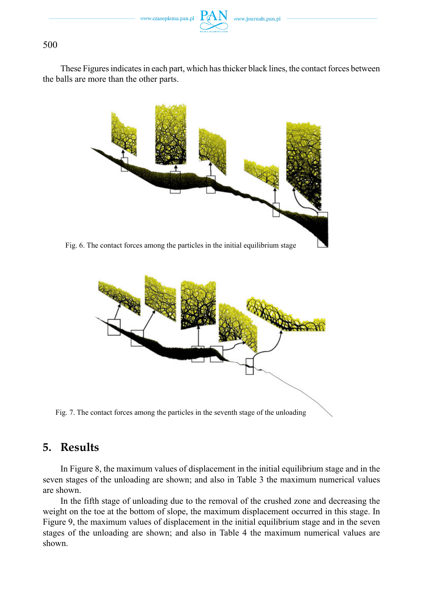

## 500

These Figures indicates in each part, which has thicker black lines, the contact forces between the balls are more than the other parts.



Fig. 6. The contact forces among the particles in the initial equilibrium stage



Fig. 7. The contact forces among the particles in the seventh stage of the unloading

# **5. Results**

In Figure 8, the maximum values of displacement in the initial equilibrium stage and in the seven stages of the unloading are shown; and also in Table 3 the maximum numerical values are shown.

In the fifth stage of unloading due to the removal of the crushed zone and decreasing the weight on the toe at the bottom of slope, the maximum displacement occurred in this stage. In Figure 9, the maximum values of displacement in the initial equilibrium stage and in the seven stages of the unloading are shown; and also in Table 4 the maximum numerical values are shown.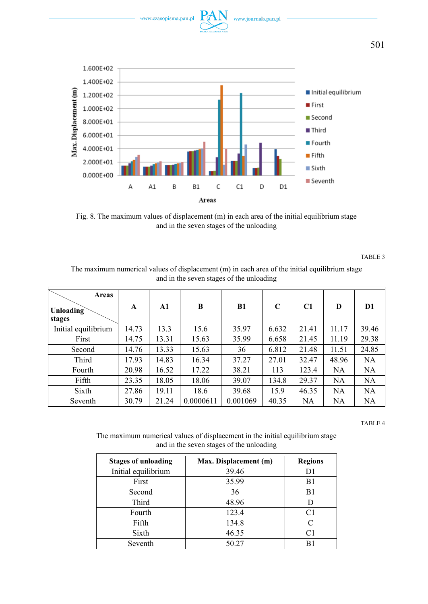

Fig. 8. The maximum values of displacement (m) in each area of the initial equilibrium stage and in the seven stages of the unloading

TABLE 3

The maximum numerical values of displacement (m) in each area of the initial equilibrium stage and in the seven stages of the unloading

| Areas<br>Unloading<br>stages | $\mathbf A$ | $\mathbf{A1}$ | B         | <b>B1</b> | C     | C1    | D         | D1    |
|------------------------------|-------------|---------------|-----------|-----------|-------|-------|-----------|-------|
| Initial equilibrium          | 14.73       | 13.3          | 15.6      | 35.97     | 6.632 | 21.41 | 11.17     | 39.46 |
| First                        | 14.75       | 13.31         | 15.63     | 35.99     | 6.658 | 21.45 | 11.19     | 29.38 |
| Second                       | 14.76       | 13.33         | 15.63     | 36        | 6.812 | 21.48 | 11.51     | 24.85 |
| Third                        | 17.93       | 14.83         | 16.34     | 37.27     | 27.01 | 32.47 | 48.96     | NA.   |
| Fourth                       | 20.98       | 16.52         | 17.22     | 38.21     | 113   | 123.4 | NA        | NA    |
| Fifth                        | 23.35       | 18.05         | 18.06     | 39.07     | 134.8 | 29.37 | NA        | NA    |
| Sixth                        | 27.86       | 19.11         | 18.6      | 39.68     | 15.9  | 46.35 | NA        | NA.   |
| Seventh                      | 30.79       | 21.24         | 0.0000611 | 0.001069  | 40.35 | NA    | <b>NA</b> | NA    |

TABLE 4

The maximum numerical values of displacement in the initial equilibrium stage and in the seven stages of the unloading

| <b>Stages of unloading</b> | Max. Displacement (m) | <b>Regions</b> |  |
|----------------------------|-----------------------|----------------|--|
| Initial equilibrium        | 39.46                 | D <sub>1</sub> |  |
| First                      | 35.99                 | B1             |  |
| Second                     | 36                    | B1             |  |
| Third                      | 48.96                 |                |  |
| Fourth                     | 123.4                 | C <sub>1</sub> |  |
| Fifth                      | 134.8                 | $\subset$      |  |
| Sixth                      | 46.35                 | C <sub>1</sub> |  |
| Seventh                    | 50.27                 | B1             |  |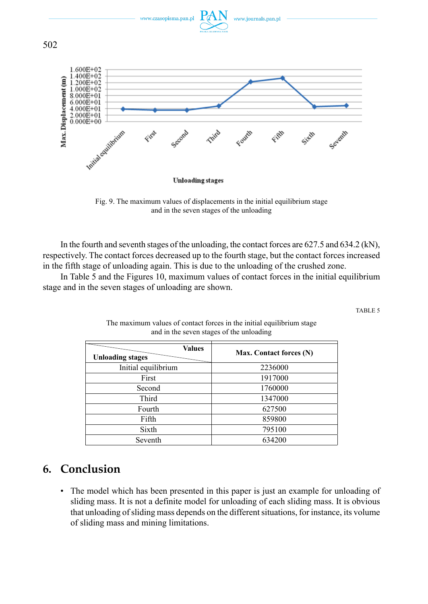

Fig. 9. The maximum values of displacements in the initial equilibrium stage and in the seven stages of the unloading

In the fourth and seventh stages of the unloading, the contact forces are 627.5 and 634.2 (kN), respectively. The contact forces decreased up to the fourth stage, but the contact forces increased in the fifth stage of unloading again. This is due to the unloading of the crushed zone.

In Table 5 and the Figures 10, maximum values of contact forces in the initial equilibrium stage and in the seven stages of unloading are shown.

TABLE 5

| <b>Values</b><br><b>Unloading stages</b> | Max. Contact forces (N) |  |  |
|------------------------------------------|-------------------------|--|--|
| Initial equilibrium                      | 2236000                 |  |  |
| First                                    | 1917000                 |  |  |
| Second                                   | 1760000                 |  |  |
| Third                                    | 1347000                 |  |  |
| Fourth                                   | 627500                  |  |  |
| Fifth                                    | 859800                  |  |  |
| Sixth                                    | 795100                  |  |  |
| Seventh                                  | 634200                  |  |  |

### The maximum values of contact forces in the initial equilibrium stage and in the seven stages of the unloading

# **6. Conclusion**

• The model which has been presented in this paper is just an example for unloading of sliding mass. It is not a definite model for unloading of each sliding mass. It is obvious that unloading of sliding mass depends on the different situations, for instance, its volume of sliding mass and mining limitations.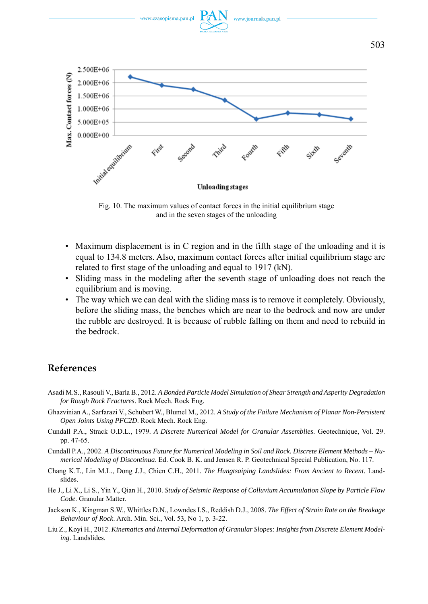

www.journals.pan.pl

www.czasopisma.pan.p

Fig. 10. The maximum values of contact forces in the initial equilibrium stage and in the seven stages of the unloading

- Maximum displacement is in C region and in the fifth stage of the unloading and it is equal to 134.8 meters. Also, maximum contact forces after initial equilibrium stage are related to first stage of the unloading and equal to 1917 (kN).
- Sliding mass in the modeling after the seventh stage of unloading does not reach the equilibrium and is moving.
- The way which we can deal with the sliding mass is to remove it completely. Obviously, before the sliding mass, the benches which are near to the bedrock and now are under the rubble are destroyed. It is because of rubble falling on them and need to rebuild in the bedrock.

## **References**

- Asadi M.S., Rasouli V., Barla B., 2012. *A Bonded Particle Model Simulation of Shear Strength and Asperity Degradation for Rough Rock Fractures*. Rock Mech. Rock Eng.
- Ghazvinian A., Sarfarazi V., Schubert W., Blumel M., 2012. *A Study of the Failure Mechanism of Planar Non-Persistent Open Joints Using PFC2D*. Rock Mech. Rock Eng.
- Cundall P.A., Strack O.D.L., 1979. *A Discrete Numerical Model for Granular Assemblies*. Geotechnique, Vol. 29. pp. 47-65.
- Cundall P.A., 2002. *A Discontinuous Future for Numerical Modeling in Soil and Rock. Discrete Element Methods Numerical Modeling of Discontinua*. Ed. Cook B. K. and Jensen R. P. Geotechnical Special Publication, No. 117.
- Chang K.T., Lin M.L., Dong J.J., Chien C.H., 2011. *The Hungtsaiping Landslides: From Ancient to Recent*. Landslides.
- He J., Li X., Li S., Yin Y., Qian H., 2010. *Study of Seismic Response of Colluvium Accumulation Slope by Particle Flow Code*. Granular Matter.
- Jackson K., Kingman S.W., Whittles D.N., Lowndes I.S., Reddish D.J., 2008. *The Effect of Strain Rate on the Breakage Behaviour of Rock*. Arch. Min. Sci., Vol. 53, No 1, p. 3-22.
- Liu Z., Koyi H., 2012. *Kinematics and Internal Deformation of Granular Slopes: Insights from Discrete Element Modeling*. Landslides.

503